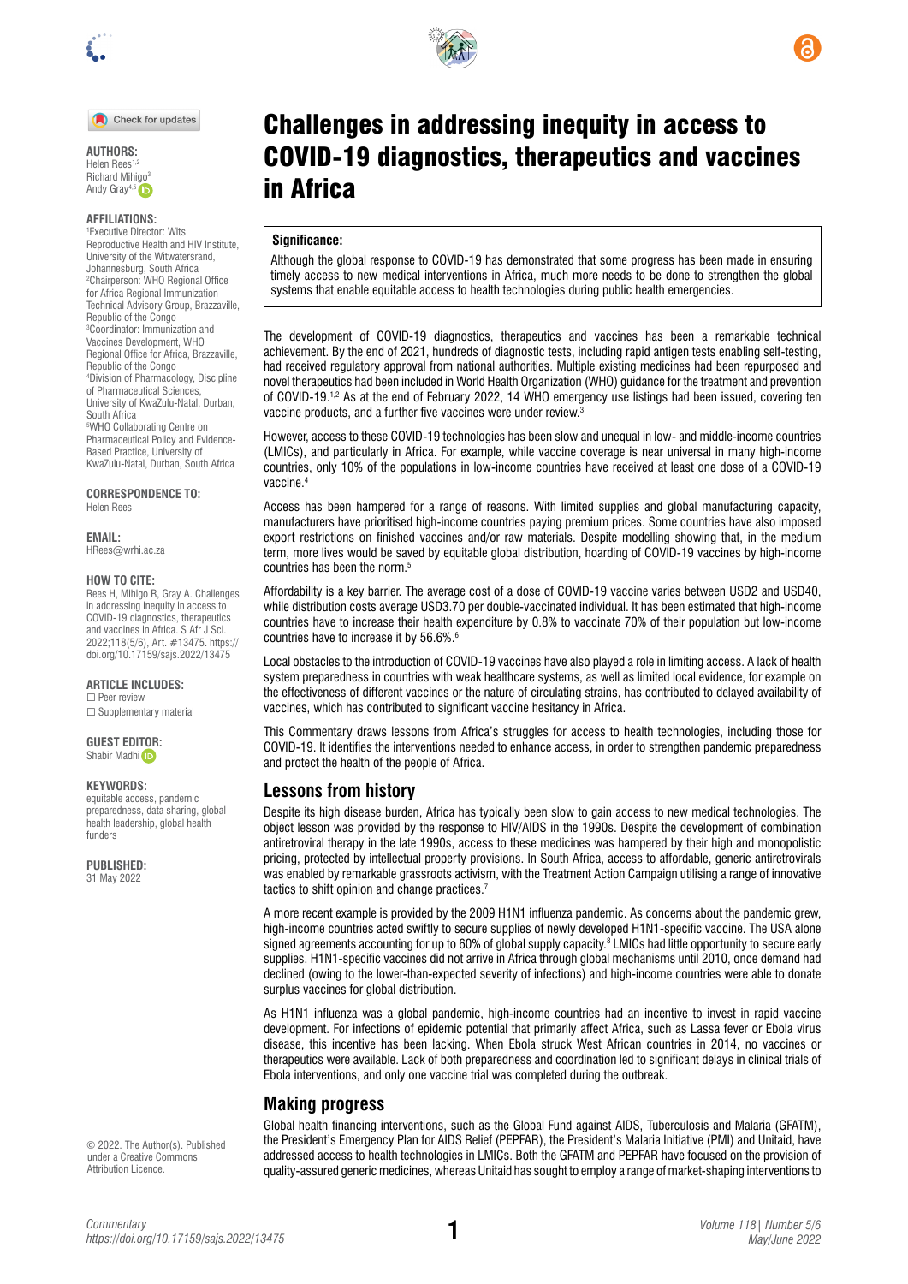

Check for updates

**AUTHORS:**  Helen Rees<sup>1</sup> Richard Mih[igo](https://orcid.org/0000-0001-7815-8180)<sup>3</sup> Andy Gray<sup>4,5</sup>

#### **AFFILIATIONS:**

1 Executive Director: Wits Reproductive Health and HIV Institute, University of the Witwatersrand, Johannesburg, South Africa 2 Chairperson: WHO Regional Office for Africa Regional Immunization Technical Advisory Group, Brazzaville, Republic of the Congo 3 Coordinator: Immunization and Vaccines Development, WHO Regional Office for Africa, Brazzaville, Republic of the Congo 4 Division of Pharmacology, Discipline of Pharmaceutical Sciences, University of KwaZulu-Natal, Durban, South Africa 5 WHO Collaborating Centre on Pharmaceutical Policy and Evidence-Based Practice, University of KwaZulu-Natal, Durban, South Africa

**CORRESPONDENCE TO:** 

Helen Rees

**EMAIL:**  [HRees@wrhi.ac.za](mailto:HRees@wrhi.ac.za)

#### **HOW TO CITE:**

Rees H, Mihigo R, Gray A. Challenges in addressing inequity in access to COVID-19 diagnostics, therapeutics and vaccines in Africa. S Afr J Sci. 2022;118(5/6), Art. #13475. [https://](https://doi.org/10.17159/sajs.2022/13475) [doi.org/10.17159/sajs.2022/13475](https://doi.org/10.17159/sajs.2022/13475)

**ARTICLE INCLUDES:**

☐ Peer review ☐ Supplementary material

**GUEST ED[ITOR](https://orcid.org/0000-0002-7629-0636):**  Shabir Madhi

#### **KEYWORDS:**

equitable access, pandemic preparedness, data sharing, global health leadership, global health funders

**PUBLISHED:** 31 May 2022

© 2022. The Author(s). Published under a [Creative Commons](https://creativecommons.org/licenses/by/4.0/)  [Attribution Licence.](https://creativecommons.org/licenses/by/4.0/)



#### **Significance:**

in Africa

Although the global response to COVID-19 has demonstrated that some progress has been made in ensuring timely access to new medical interventions in Africa, much more needs to be done to strengthen the global systems that enable equitable access to health technologies during public health emergencies.

The development of COVID-19 diagnostics, therapeutics and vaccines has been a remarkable technical achievement. By the end of 2021, hundreds of diagnostic tests, including rapid antigen tests enabling self-testing, had received regulatory approval from national authorities. Multiple existing medicines had been repurposed and novel therapeutics had been included in World Health Organization (WHO) guidance for the treatment and prevention of COVID-19.1,2 As at the end of February 2022, 14 WHO emergency use listings had been issued, covering ten vaccine products, and a further five vaccines were under review.<sup>3</sup>

However, access to these COVID-19 technologies has been slow and unequal in low- and middle-income countries (LMICs), and particularly in Africa. For example, while vaccine coverage is near universal in many high-income countries, only 10% of the populations in low-income countries have received at least one dose of a COVID-19 vaccine.4

Access has been hampered for a range of reasons. With limited supplies and global manufacturing capacity, manufacturers have prioritised high-income countries paying premium prices. Some countries have also imposed export restrictions on finished vaccines and/or raw materials. Despite modelling showing that, in the medium term, more lives would be saved by equitable global distribution, hoarding of COVID-19 vaccines by high-income countries has been the norm.<sup>5</sup>

Affordability is a key barrier. The average cost of a dose of COVID-19 vaccine varies between USD2 and USD40, while distribution costs average USD3.70 per double-vaccinated individual. It has been estimated that high-income countries have to increase their health expenditure by 0.8% to vaccinate 70% of their population but low-income countries have to increase it by 56.6%.6

Local obstacles to the introduction of COVID-19 vaccines have also played a role in limiting access. A lack of health system preparedness in countries with weak healthcare systems, as well as limited local evidence, for example on the effectiveness of different vaccines or the nature of circulating strains, has contributed to delayed availability of vaccines, which has contributed to significant vaccine hesitancy in Africa.

This Commentary draws lessons from Africa's struggles for access to health technologies, including those for COVID-19. It identifies the interventions needed to enhance access, in order to strengthen pandemic preparedness and protect the health of the people of Africa.

## **Lessons from history**

Despite its high disease burden, Africa has typically been slow to gain access to new medical technologies. The object lesson was provided by the response to HIV/AIDS in the 1990s. Despite the development of combination antiretroviral therapy in the late 1990s, access to these medicines was hampered by their high and monopolistic pricing, protected by intellectual property provisions. In South Africa, access to affordable, generic antiretrovirals was enabled by remarkable grassroots activism, with the Treatment Action Campaign utilising a range of innovative tactics to shift opinion and change practices.<sup>7</sup>

A more recent example is provided by the 2009 H1N1 influenza pandemic. As concerns about the pandemic grew, high-income countries acted swiftly to secure supplies of newly developed H1N1-specific vaccine. The USA alone signed agreements accounting for up to 60% of global supply capacity.<sup>8</sup> LMICs had little opportunity to secure early supplies. H1N1-specific vaccines did not arrive in Africa through global mechanisms until 2010, once demand had declined (owing to the lower-than-expected severity of infections) and high-income countries were able to donate surplus vaccines for global distribution.

As H1N1 influenza was a global pandemic, high-income countries had an incentive to invest in rapid vaccine development. For infections of epidemic potential that primarily affect Africa, such as Lassa fever or Ebola virus disease, this incentive has been lacking. When Ebola struck West African countries in 2014, no vaccines or therapeutics were available. Lack of both preparedness and coordination led to significant delays in clinical trials of Ebola interventions, and only one vaccine trial was completed during the outbreak.

## **Making progress**

Global health financing interventions, such as the Global Fund against AIDS, Tuberculosis and Malaria (GFATM), the President's Emergency Plan for AIDS Relief (PEPFAR), the President's Malaria Initiative (PMI) and Unitaid, have addressed access to health technologies in LMICs. Both the GFATM and PEPFAR have focused on the provision of quality-assured generic medicines, whereas Unitaid has sought to employ a range of market-shaping interventions to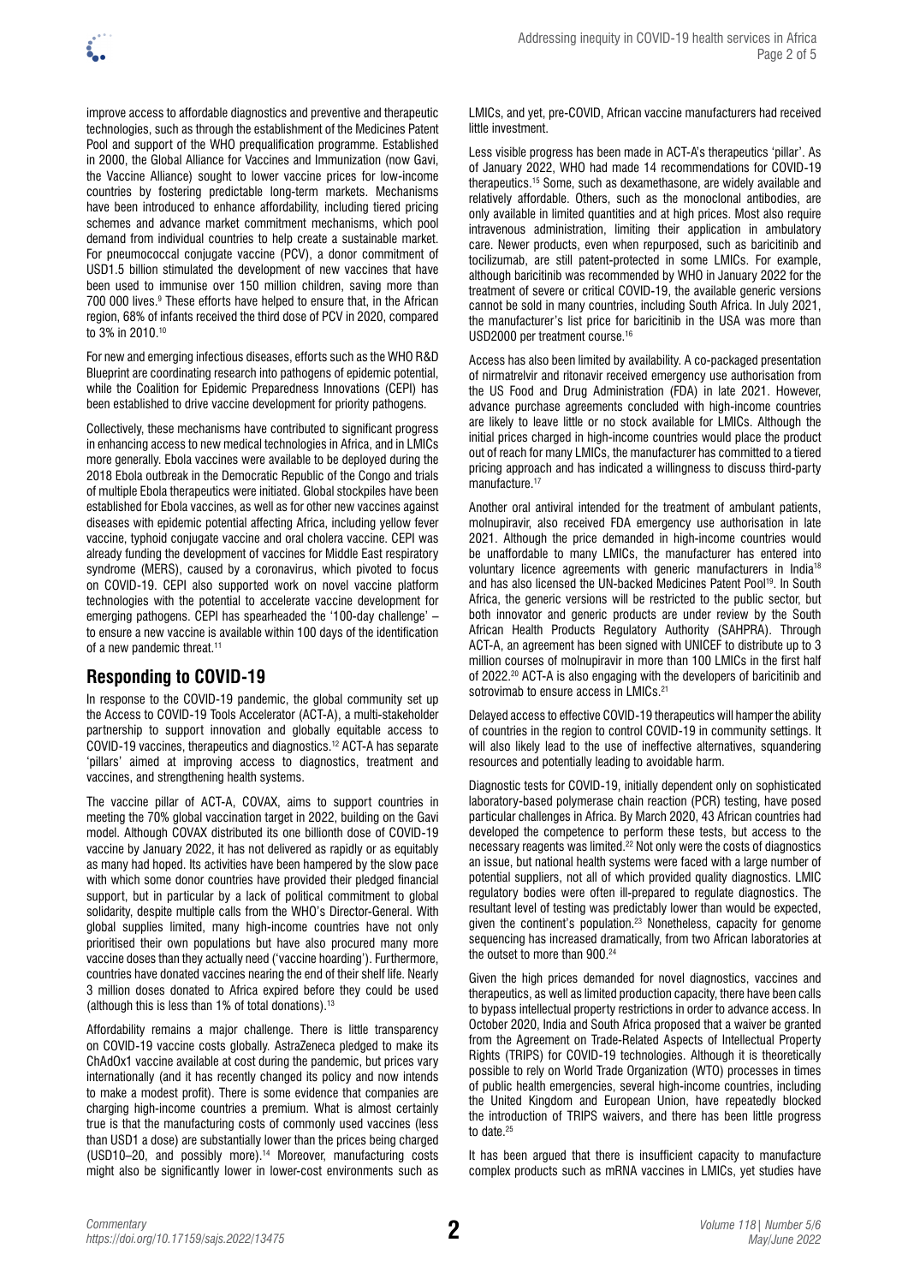

improve access to affordable diagnostics and preventive and therapeutic technologies, such as through the establishment of the Medicines Patent Pool and support of the WHO prequalification programme. Established in 2000, the Global Alliance for Vaccines and Immunization (now Gavi, the Vaccine Alliance) sought to lower vaccine prices for low-income countries by fostering predictable long-term markets. Mechanisms have been introduced to enhance affordability, including tiered pricing schemes and advance market commitment mechanisms, which pool demand from individual countries to help create a sustainable market. For pneumococcal conjugate vaccine (PCV), a donor commitment of USD1.5 billion stimulated the development of new vaccines that have been used to immunise over 150 million children, saving more than 700 000 lives.9 These efforts have helped to ensure that, in the African region, 68% of infants received the third dose of PCV in 2020, compared to 3% in 2010.10

For new and emerging infectious diseases, efforts such as the WHO R&D Blueprint are coordinating research into pathogens of epidemic potential, while the Coalition for Epidemic Preparedness Innovations (CEPI) has been established to drive vaccine development for priority pathogens.

Collectively, these mechanisms have contributed to significant progress in enhancing access to new medical technologies in Africa, and in LMICs more generally. Ebola vaccines were available to be deployed during the 2018 Ebola outbreak in the Democratic Republic of the Congo and trials of multiple Ebola therapeutics were initiated. Global stockpiles have been established for Ebola vaccines, as well as for other new vaccines against diseases with epidemic potential affecting Africa, including yellow fever vaccine, typhoid conjugate vaccine and oral cholera vaccine. CEPI was already funding the development of vaccines for Middle East respiratory syndrome (MERS), caused by a coronavirus, which pivoted to focus on COVID-19. CEPI also supported work on novel vaccine platform technologies with the potential to accelerate vaccine development for emerging pathogens. CEPI has spearheaded the '100-day challenge' – to ensure a new vaccine is available within 100 days of the identification of a new pandemic threat.<sup>11</sup>

## **Responding to COVID-19**

In response to the COVID-19 pandemic, the global community set up the Access to COVID-19 Tools Accelerator (ACT-A), a multi-stakeholder partnership to support innovation and globally equitable access to COVID-19 vaccines, therapeutics and diagnostics.12 ACT-A has separate 'pillars' aimed at improving access to diagnostics, treatment and vaccines, and strengthening health systems.

The vaccine pillar of ACT-A, COVAX, aims to support countries in meeting the 70% global vaccination target in 2022, building on the Gavi model. Although COVAX distributed its one billionth dose of COVID-19 vaccine by January 2022, it has not delivered as rapidly or as equitably as many had hoped. Its activities have been hampered by the slow pace with which some donor countries have provided their pledged financial support, but in particular by a lack of political commitment to global solidarity, despite multiple calls from the WHO's Director-General. With global supplies limited, many high-income countries have not only prioritised their own populations but have also procured many more vaccine doses than they actually need ('vaccine hoarding'). Furthermore, countries have donated vaccines nearing the end of their shelf life. Nearly 3 million doses donated to Africa expired before they could be used (although this is less than 1% of total donations).13

Affordability remains a major challenge. There is little transparency on COVID-19 vaccine costs globally. AstraZeneca pledged to make its ChAdOx1 vaccine available at cost during the pandemic, but prices vary internationally (and it has recently changed its policy and now intends to make a modest profit). There is some evidence that companies are charging high-income countries a premium. What is almost certainly true is that the manufacturing costs of commonly used vaccines (less than USD1 a dose) are substantially lower than the prices being charged (USD10–20, and possibly more).14 Moreover, manufacturing costs might also be significantly lower in lower-cost environments such as

LMICs, and yet, pre-COVID, African vaccine manufacturers had received little investment.

Less visible progress has been made in ACT-A's therapeutics 'pillar'. As of January 2022, WHO had made 14 recommendations for COVID-19 therapeutics.15 Some, such as dexamethasone, are widely available and relatively affordable. Others, such as the monoclonal antibodies, are only available in limited quantities and at high prices. Most also require intravenous administration, limiting their application in ambulatory care. Newer products, even when repurposed, such as baricitinib and tocilizumab, are still patent-protected in some LMICs. For example, although baricitinib was recommended by WHO in January 2022 for the treatment of severe or critical COVID-19, the available generic versions cannot be sold in many countries, including South Africa. In July 2021, the manufacturer's list price for baricitinib in the USA was more than USD2000 per treatment course.16

Access has also been limited by availability. A co-packaged presentation of nirmatrelvir and ritonavir received emergency use authorisation from the US Food and Drug Administration (FDA) in late 2021. However, advance purchase agreements concluded with high-income countries are likely to leave little or no stock available for LMICs. Although the initial prices charged in high-income countries would place the product out of reach for many LMICs, the manufacturer has committed to a tiered pricing approach and has indicated a willingness to discuss third-party manufacture.<sup>17</sup>

Another oral antiviral intended for the treatment of ambulant patients, molnupiravir, also received FDA emergency use authorisation in late 2021. Although the price demanded in high-income countries would be unaffordable to many LMICs, the manufacturer has entered into voluntary licence agreements with generic manufacturers in India18 and has also licensed the UN-backed Medicines Patent Pool<sup>19</sup>. In South Africa, the generic versions will be restricted to the public sector, but both innovator and generic products are under review by the South African Health Products Regulatory Authority (SAHPRA). Through ACT-A, an agreement has been signed with UNICEF to distribute up to 3 million courses of molnupiravir in more than 100 LMICs in the first half of 2022.<sup>20</sup> ACT-A is also engaging with the developers of baricitinib and sotrovimab to ensure access in LMICs.<sup>21</sup>

Delayed access to effective COVID-19 therapeutics will hamper the ability of countries in the region to control COVID-19 in community settings. It will also likely lead to the use of ineffective alternatives, squandering resources and potentially leading to avoidable harm.

Diagnostic tests for COVID-19, initially dependent only on sophisticated laboratory-based polymerase chain reaction (PCR) testing, have posed particular challenges in Africa. By March 2020, 43 African countries had developed the competence to perform these tests, but access to the necessary reagents was limited.22 Not only were the costs of diagnostics an issue, but national health systems were faced with a large number of potential suppliers, not all of which provided quality diagnostics. LMIC regulatory bodies were often ill-prepared to regulate diagnostics. The resultant level of testing was predictably lower than would be expected, given the continent's population.<sup>23</sup> Nonetheless, capacity for genome sequencing has increased dramatically, from two African laboratories at the outset to more than 900.<sup>24</sup>

Given the high prices demanded for novel diagnostics, vaccines and therapeutics, as well as limited production capacity, there have been calls to bypass intellectual property restrictions in order to advance access. In October 2020, India and South Africa proposed that a waiver be granted from the Agreement on Trade-Related Aspects of Intellectual Property Rights (TRIPS) for COVID-19 technologies. Although it is theoretically possible to rely on World Trade Organization (WTO) processes in times of public health emergencies, several high-income countries, including the United Kingdom and European Union, have repeatedly blocked the introduction of TRIPS waivers, and there has been little progress to date.<sup>25</sup>

It has been argued that there is insufficient capacity to manufacture complex products such as mRNA vaccines in LMICs, yet studies have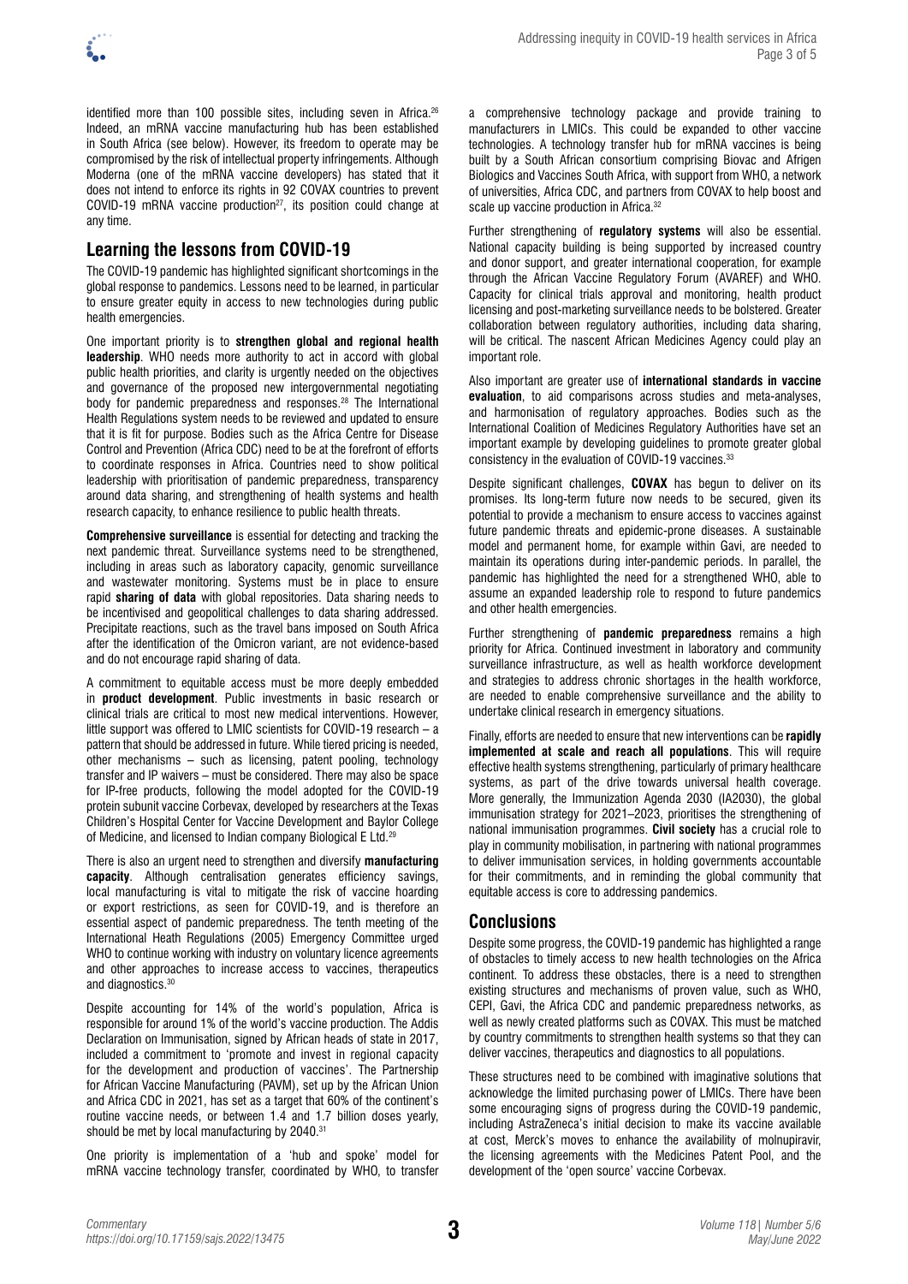

identified more than 100 possible sites, including seven in Africa.<sup>26</sup> Indeed, an mRNA vaccine manufacturing hub has been established in South Africa (see below). However, its freedom to operate may be compromised by the risk of intellectual property infringements. Although Moderna (one of the mRNA vaccine developers) has stated that it does not intend to enforce its rights in 92 COVAX countries to prevent COVID-19 mRNA vaccine production<sup>27</sup>, its position could change at any time.

# **Learning the lessons from COVID-19**

The COVID-19 pandemic has highlighted significant shortcomings in the global response to pandemics. Lessons need to be learned, in particular to ensure greater equity in access to new technologies during public health emergencies.

One important priority is to **strengthen global and regional health leadership**. WHO needs more authority to act in accord with global public health priorities, and clarity is urgently needed on the objectives and governance of the proposed new intergovernmental negotiating body for pandemic preparedness and responses.<sup>28</sup> The International Health Regulations system needs to be reviewed and updated to ensure that it is fit for purpose. Bodies such as the Africa Centre for Disease Control and Prevention (Africa CDC) need to be at the forefront of efforts to coordinate responses in Africa. Countries need to show political leadership with prioritisation of pandemic preparedness, transparency around data sharing, and strengthening of health systems and health research capacity, to enhance resilience to public health threats.

**Comprehensive surveillance** is essential for detecting and tracking the next pandemic threat. Surveillance systems need to be strengthened, including in areas such as laboratory capacity, genomic surveillance and wastewater monitoring. Systems must be in place to ensure rapid **sharing of data** with global repositories. Data sharing needs to be incentivised and geopolitical challenges to data sharing addressed. Precipitate reactions, such as the travel bans imposed on South Africa after the identification of the Omicron variant, are not evidence-based and do not encourage rapid sharing of data.

A commitment to equitable access must be more deeply embedded in **product development**. Public investments in basic research or clinical trials are critical to most new medical interventions. However, little support was offered to LMIC scientists for COVID-19 research – a pattern that should be addressed in future. While tiered pricing is needed, other mechanisms – such as licensing, patent pooling, technology transfer and IP waivers – must be considered. There may also be space for IP-free products, following the model adopted for the COVID-19 protein subunit vaccine Corbevax, developed by researchers at the Texas Children's Hospital Center for Vaccine Development and Baylor College of Medicine, and licensed to Indian company Biological E Ltd.29

There is also an urgent need to strengthen and diversify **manufacturing capacity**. Although centralisation generates efficiency savings, local manufacturing is vital to mitigate the risk of vaccine hoarding or export restrictions, as seen for COVID-19, and is therefore an essential aspect of pandemic preparedness. The tenth meeting of the International Heath Regulations (2005) Emergency Committee urged WHO to continue working with industry on voluntary licence agreements and other approaches to increase access to vaccines, therapeutics and diagnostics.<sup>30</sup>

Despite accounting for 14% of the world's population, Africa is responsible for around 1% of the world's vaccine production. The Addis Declaration on Immunisation, signed by African heads of state in 2017, included a commitment to 'promote and invest in regional capacity for the development and production of vaccines'. The Partnership for African Vaccine Manufacturing (PAVM), set up by the African Union and Africa CDC in 2021, has set as a target that 60% of the continent's routine vaccine needs, or between 1.4 and 1.7 billion doses yearly, should be met by local manufacturing by 2040.<sup>31</sup>

One priority is implementation of a 'hub and spoke' model for mRNA vaccine technology transfer, coordinated by WHO, to transfer a comprehensive technology package and provide training to manufacturers in LMICs. This could be expanded to other vaccine technologies. A technology transfer hub for mRNA vaccines is being built by a [South African consortium](https://whotogo-whoafroccmaster.newsweaver.com/jku37xzkcl/1d3275d2qix/external?a=6&p=60248142&t=32081188) comprising Biovac and Afrigen Biologics and Vaccines South Africa, with support from WHO, a network of universities, Africa CDC, and partners from COVAX to help boost and scale up vaccine production in Africa.<sup>32</sup>

Further strengthening of **regulatory systems** will also be essential. National capacity building is being supported by increased country and donor support, and greater international cooperation, for example through the African Vaccine Regulatory Forum (AVAREF) and WHO. Capacity for clinical trials approval and monitoring, health product licensing and post-marketing surveillance needs to be bolstered. Greater collaboration between regulatory authorities, including data sharing, will be critical. The nascent African Medicines Agency could play an important role.

Also important are greater use of **international standards in vaccine evaluation**, to aid comparisons across studies and meta-analyses, and harmonisation of regulatory approaches. Bodies such as the International Coalition of Medicines Regulatory Authorities have set an important example by developing guidelines to promote greater global consistency in the evaluation of COVID-19 vaccines.<sup>33</sup>

Despite significant challenges, **COVAX** has begun to deliver on its promises. Its long-term future now needs to be secured, given its potential to provide a mechanism to ensure access to vaccines against future pandemic threats and epidemic-prone diseases. A sustainable model and permanent home, for example within Gavi, are needed to maintain its operations during inter-pandemic periods. In parallel, the pandemic has highlighted the need for a strengthened WHO, able to assume an expanded leadership role to respond to future pandemics and other health emergencies.

Further strengthening of **pandemic preparedness** remains a high priority for Africa. Continued investment in laboratory and community surveillance infrastructure, as well as health workforce development and strategies to address chronic shortages in the health workforce, are needed to enable comprehensive surveillance and the ability to undertake clinical research in emergency situations.

Finally, efforts are needed to ensure that new interventions can be **rapidly implemented at scale and reach all populations**. This will require effective health systems strengthening, particularly of primary healthcare systems, as part of the drive towards universal health coverage. More generally, the Immunization Agenda 2030 (IA2030), the global immunisation strategy for 2021–2023, prioritises the strengthening of national immunisation programmes. **Civil society** has a crucial role to play in community mobilisation, in partnering with national programmes to deliver immunisation services, in holding governments accountable for their commitments, and in reminding the global community that equitable access is core to addressing pandemics.

## **Conclusions**

Despite some progress, the COVID-19 pandemic has highlighted a range of obstacles to timely access to new health technologies on the Africa continent. To address these obstacles, there is a need to strengthen existing structures and mechanisms of proven value, such as WHO, CEPI, Gavi, the Africa CDC and pandemic preparedness networks, as well as newly created platforms such as COVAX. This must be matched by country commitments to strengthen health systems so that they can deliver vaccines, therapeutics and diagnostics to all populations.

These structures need to be combined with imaginative solutions that acknowledge the limited purchasing power of LMICs. There have been some encouraging signs of progress during the COVID-19 pandemic, including AstraZeneca's initial decision to make its vaccine available at cost, Merck's moves to enhance the availability of molnupiravir, the licensing agreements with the Medicines Patent Pool, and the development of the 'open source' vaccine Corbevax.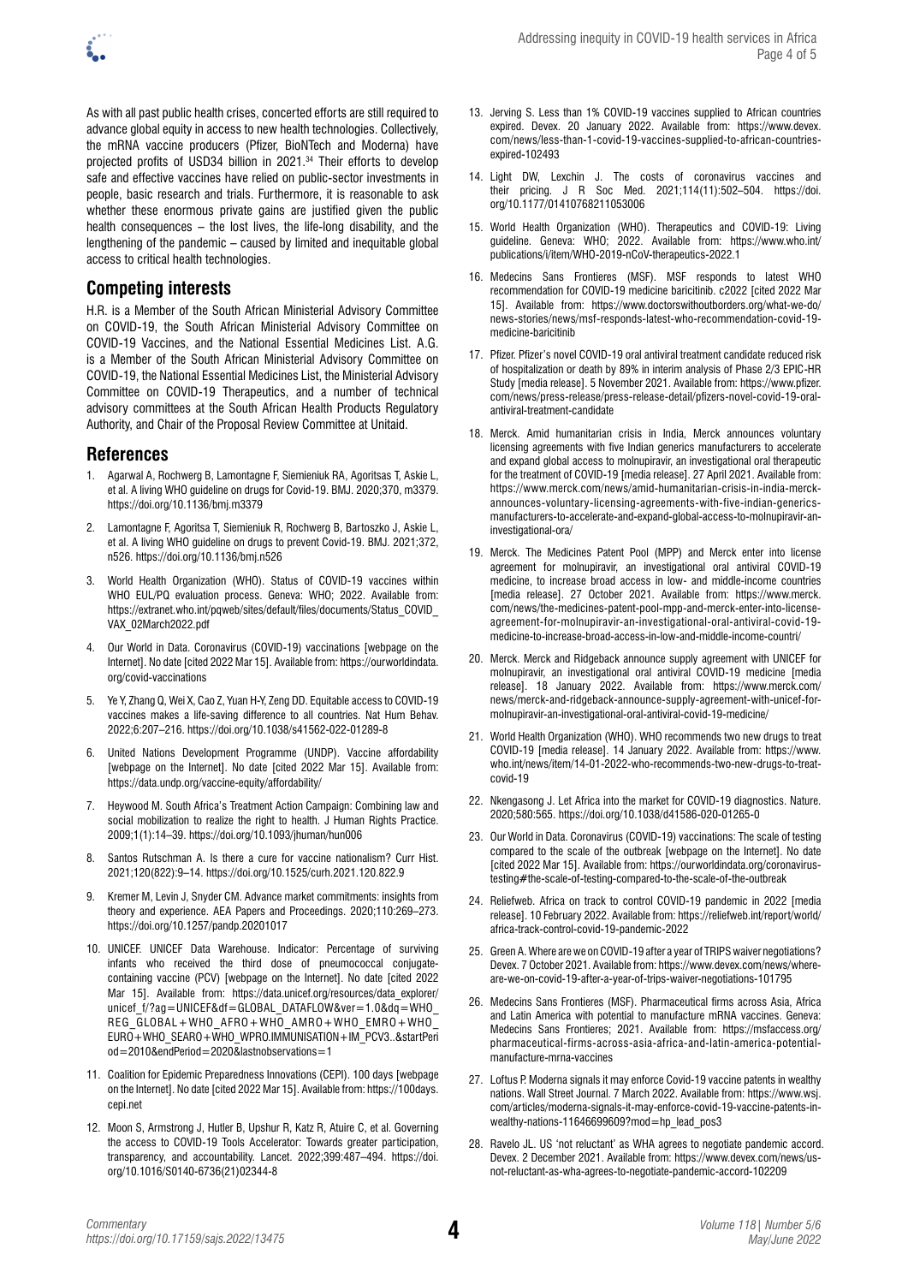

As with all past public health crises, concerted efforts are still required to advance global equity in access to new health technologies. Collectively, the mRNA vaccine producers (Pfizer, BioNTech and Moderna) have projected profits of USD34 billion in 2021.34 Their efforts to develop safe and effective vaccines have relied on public-sector investments in people, basic research and trials. Furthermore, it is reasonable to ask whether these enormous private gains are justified given the public health consequences – the lost lives, the life-long disability, and the lengthening of the pandemic – caused by limited and inequitable global access to critical health technologies.

# **Competing interests**

H.R. is a Member of the South African Ministerial Advisory Committee on COVID-19, the South African Ministerial Advisory Committee on COVID-19 Vaccines, and the National Essential Medicines List. A.G. is a Member of the South African Ministerial Advisory Committee on COVID-19, the National Essential Medicines List, the Ministerial Advisory Committee on COVID-19 Therapeutics, and a number of technical advisory committees at the South African Health Products Regulatory Authority, and Chair of the Proposal Review Committee at Unitaid.

#### **References**

- 1. Agarwal A, Rochwerg B, Lamontagne F, Siemieniuk RA, Agoritsas T, Askie L, et al. A living WHO guideline on drugs for Covid-19. BMJ. 2020;370, m3379. <https://doi.org/10.1136/bmj.m3379>
- 2. Lamontagne F, Agoritsa T, Siemieniuk R, Rochwerg B, Bartoszko J, Askie L, et al. A living WHO guideline on drugs to prevent Covid-19. BMJ. 2021;372, n526.<https://doi.org/10.1136/bmj.n526>
- World Health Organization (WHO). Status of COVID-19 vaccines within WHO EUL/PQ evaluation process. Geneva: WHO: 2022. Available from: [https://extranet.who.int/pqweb/sites/default/files/documents/Status\\_COVID\\_](https://extranet.who.int/pqweb/sites/default/files/documents/Status_COVID_VAX_02March2022.pdf) [VAX\\_02March2022.pdf](https://extranet.who.int/pqweb/sites/default/files/documents/Status_COVID_VAX_02March2022.pdf)
- 4. Our World in Data. Coronavirus (COVID-19) vaccinations [webpage on the Internet]. No date [cited 2022 Mar 15]. Available from: [https://ourworldindata.](https://ourworldindata.org/covid-vaccinations) [org/covid-vaccinations](https://ourworldindata.org/covid-vaccinations)
- 5. Ye Y, Zhang Q, Wei X, Cao Z, Yuan H-Y, Zeng DD. Equitable access to COVID-19 vaccines makes a life-saving difference to all countries. Nat Hum Behav. 2022;6:207–216.<https://doi.org/10.1038/s41562-022-01289-8>
- 6. United Nations Development Programme (UNDP). Vaccine affordability [webpage on the Internet]. No date [cited 2022 Mar 15]. Available from: <https://data.undp.org/vaccine-equity/affordability/>
- 7. Heywood M. South Africa's Treatment Action Campaign: Combining law and social mobilization to realize the right to health. J Human Rights Practice. 2009;1(1):14–39.<https://doi.org/10.1093/jhuman/hun006>
- 8. Santos Rutschman A. Is there a cure for vaccine nationalism? Curr Hist. 2021;120(822):9–14.<https://doi.org/10.1525/curh.2021.120.822.9>
- 9. Kremer M, Levin J, Snyder CM. Advance market commitments: insights from theory and experience. AEA Papers and Proceedings. 2020;110:269–273. <https://doi.org/10.1257/pandp.20201017>
- 10. UNICEF. UNICEF Data Warehouse. Indicator: Percentage of surviving infants who received the third dose of pneumococcal conjugatecontaining vaccine (PCV) [webpage on the Internet]. No date [cited 2022 Mar 15]. Available from: [https://data.unicef.org/resources/data\\_explorer/](https://data.unicef.org/resources/data_explorer/unicef_f/?ag=UNICEF&df=GLOBAL_DATAFLOW&ver=1.0&dq=WHO_REG_GLOBAL+WHO_AFRO+WHO_AMRO+WHO_EMRO+WHO_EURO+WHO_SEARO+WHO_WPRO.IMMUNISATION+IM_PCV3..&startPeriod=2010&endPeriod=2020&lastnobservations=1) unicef\_f/?ag=UNICEF&df=GLOBAL\_DATAFLOW&ver=1.0&dq=WHO [REG\\_GLOBAL+WHO\\_AFRO+WHO\\_AMRO+WHO\\_EMRO+WHO\\_](https://data.unicef.org/resources/data_explorer/unicef_f/?ag=UNICEF&df=GLOBAL_DATAFLOW&ver=1.0&dq=WHO_REG_GLOBAL+WHO_AFRO+WHO_AMRO+WHO_EMRO+WHO_EURO+WHO_SEARO+WHO_WPRO.IMMUNISATION+IM_PCV3..&startPeriod=2010&endPeriod=2020&lastnobservations=1) [EURO+WHO\\_SEARO+WHO\\_WPRO.IMMUNISATION+IM\\_PCV3..&startPeri](https://data.unicef.org/resources/data_explorer/unicef_f/?ag=UNICEF&df=GLOBAL_DATAFLOW&ver=1.0&dq=WHO_REG_GLOBAL+WHO_AFRO+WHO_AMRO+WHO_EMRO+WHO_EURO+WHO_SEARO+WHO_WPRO.IMMUNISATION+IM_PCV3..&startPeriod=2010&endPeriod=2020&lastnobservations=1) [od=2010&endPeriod=2020&lastnobservations=1](https://data.unicef.org/resources/data_explorer/unicef_f/?ag=UNICEF&df=GLOBAL_DATAFLOW&ver=1.0&dq=WHO_REG_GLOBAL+WHO_AFRO+WHO_AMRO+WHO_EMRO+WHO_EURO+WHO_SEARO+WHO_WPRO.IMMUNISATION+IM_PCV3..&startPeriod=2010&endPeriod=2020&lastnobservations=1)
- 11. Coalition for Epidemic Preparedness Innovations (CEPI). 100 days [webpage on the Internet]. No date [cited 2022 Mar 15]. Available from: [https://100days.](https://100days.cepi.net) [cepi.net](https://100days.cepi.net)
- 12. Moon S, Armstrong J, Hutler B, Upshur R, Katz R, Atuire C, et al. [Governing](https://pubmed.ncbi.nlm.nih.gov/34902308/)  [the access to COVID-19 Tools Accelerator: Towards greater participation,](https://pubmed.ncbi.nlm.nih.gov/34902308/) [transparency, and accountability.](https://pubmed.ncbi.nlm.nih.gov/34902308/) Lancet. 2022;399:487–494. [https://doi.](https://doi.org/10.1016/S0140-6736(21)02344-8) [org/10.1016/S0140-6736\(21\)02344-8](https://doi.org/10.1016/S0140-6736(21)02344-8)
- 13. Jerving S. Less than 1% COVID-19 vaccines supplied to African countries expired. Devex. 20 January 2022. Available from: [https://www.devex.](https://www.devex.com/news/less-than-1-covid-19-vaccines-supplied-to-african-countries-expired-102493) [com/news/less-than-1-covid-19-vaccines-supplied-to-african-countries](https://www.devex.com/news/less-than-1-covid-19-vaccines-supplied-to-african-countries-expired-102493)[expired-102493](https://www.devex.com/news/less-than-1-covid-19-vaccines-supplied-to-african-countries-expired-102493)
- 14. Light DW, Lexchin J. [The costs of coronavirus vaccines and](https://pubmed.ncbi.nlm.nih.gov/34732097/) [their pricing.](https://pubmed.ncbi.nlm.nih.gov/34732097/) J R Soc Med. 2021;114(11):502–504. [https://doi.](https://doi.org/10.1177/01410768211053006) [org/10.1177/01410768211053006](https://doi.org/10.1177/01410768211053006)
- 15. World Health Organization (WHO). Therapeutics and COVID-19: Living guideline. Geneva: WHO; 2022. Available from: [https://www.who.int/](https://www.who.int/publications/i/item/WHO-2019-nCoV-therapeutics-2022.1) [publications/i/item/WHO-2019-nCoV-therapeutics-2022.1](https://www.who.int/publications/i/item/WHO-2019-nCoV-therapeutics-2022.1)
- 16. Medecins Sans Frontieres (MSF). MSF responds to latest WHO recommendation for COVID-19 medicine baricitinib. c2022 [cited 2022 Mar 15]. Available from: [https://www.doctorswithoutborders.org/what-we-do/](https://www.doctorswithoutborders.org/what-we-do/news-stories/news/msf-responds-latest-who-recommendation-covid-19-medicine-baricitinib) [news-stories/news/msf-responds-latest-who-recommendation-covid-19](https://www.doctorswithoutborders.org/what-we-do/news-stories/news/msf-responds-latest-who-recommendation-covid-19-medicine-baricitinib) [medicine-baricitinib](https://www.doctorswithoutborders.org/what-we-do/news-stories/news/msf-responds-latest-who-recommendation-covid-19-medicine-baricitinib)
- 17. Pfizer. Pfizer's novel COVID-19 oral antiviral treatment candidate reduced risk of hospitalization or death by 89% in interim analysis of Phase 2/3 EPIC-HR Study [media release]. 5 November 2021. Available from: [https://www.pfizer.](https://www.pfizer.com/news/press-release/press-release-detail/pfizers-novel-covid-19-oral-antiviral-treatment-candidate) [com/news/press-release/press-release-detail/pfizers-novel-covid-19-oral](https://www.pfizer.com/news/press-release/press-release-detail/pfizers-novel-covid-19-oral-antiviral-treatment-candidate)[antiviral-treatment-candidate](https://www.pfizer.com/news/press-release/press-release-detail/pfizers-novel-covid-19-oral-antiviral-treatment-candidate)
- 18. Merck. Amid humanitarian crisis in India, Merck announces voluntary licensing agreements with five Indian generics manufacturers to accelerate and expand global access to molnupiravir, an investigational oral therapeutic for the treatment of COVID-19 [media release]. 27 April 2021. Available from: [https://www.merck.com/news/amid-humanitarian-crisis-in-india-merck](https://www.merck.com/news/amid-humanitarian-crisis-in-india-merck-announces-voluntary-licensing-agreements-with-five-indian-generics-manufacturers-to-accelerate-and-expand-global-access-to-molnupiravir-an-investigational-ora/)[announces-voluntary-licensing-agreements-with-five-indian-generics](https://www.merck.com/news/amid-humanitarian-crisis-in-india-merck-announces-voluntary-licensing-agreements-with-five-indian-generics-manufacturers-to-accelerate-and-expand-global-access-to-molnupiravir-an-investigational-ora/)[manufacturers-to-accelerate-and-expand-global-access-to-molnupiravir-an](https://www.merck.com/news/amid-humanitarian-crisis-in-india-merck-announces-voluntary-licensing-agreements-with-five-indian-generics-manufacturers-to-accelerate-and-expand-global-access-to-molnupiravir-an-investigational-ora/)[investigational-ora/](https://www.merck.com/news/amid-humanitarian-crisis-in-india-merck-announces-voluntary-licensing-agreements-with-five-indian-generics-manufacturers-to-accelerate-and-expand-global-access-to-molnupiravir-an-investigational-ora/)
- 19. Merck. The Medicines Patent Pool (MPP) and Merck enter into license agreement for molnupiravir, an investigational oral antiviral COVID-19 medicine, to increase broad access in low- and middle-income countries [media release]. 27 October 2021. Available from: [https://www.merck.](https://www.merck.com/news/the-medicines-patent-pool-mpp-and-merck-enter-into-license-agreement-for-molnupiravir-an-investigational-oral-antiviral-covid-19-medicine-to-increase-broad-access-in-low-and-middle-income-countri/) [com/news/the-medicines-patent-pool-mpp-and-merck-enter-into-license](https://www.merck.com/news/the-medicines-patent-pool-mpp-and-merck-enter-into-license-agreement-for-molnupiravir-an-investigational-oral-antiviral-covid-19-medicine-to-increase-broad-access-in-low-and-middle-income-countri/)[agreement-for-molnupiravir-an-investigational-oral-antiviral-covid-19](https://www.merck.com/news/the-medicines-patent-pool-mpp-and-merck-enter-into-license-agreement-for-molnupiravir-an-investigational-oral-antiviral-covid-19-medicine-to-increase-broad-access-in-low-and-middle-income-countri/) [medicine-to-increase-broad-access-in-low-and-middle-income-countri/](https://www.merck.com/news/the-medicines-patent-pool-mpp-and-merck-enter-into-license-agreement-for-molnupiravir-an-investigational-oral-antiviral-covid-19-medicine-to-increase-broad-access-in-low-and-middle-income-countri/)
- 20. Merck. Merck and Ridgeback announce supply agreement with UNICEF for molnupiravir, an investigational oral antiviral COVID-19 medicine [media release]. 18 January 2022. Available from: [https://www.merck.com/](https://www.merck.com/news/merck-and-ridgeback-announce-supply-agreement-with-unicef-for-molnupiravir-an-investigational-oral-antiviral-covid-19-medicine/) [news/merck-and-ridgeback-announce-supply-agreement-with-unicef-for](https://www.merck.com/news/merck-and-ridgeback-announce-supply-agreement-with-unicef-for-molnupiravir-an-investigational-oral-antiviral-covid-19-medicine/)[molnupiravir-an-investigational-oral-antiviral-covid-19-medicine/](https://www.merck.com/news/merck-and-ridgeback-announce-supply-agreement-with-unicef-for-molnupiravir-an-investigational-oral-antiviral-covid-19-medicine/)
- 21. World Health Organization (WHO). WHO recommends two new drugs to treat COVID-19 [media release]. 14 January 2022. Available from: [https://www.](https://www.who.int/news/item/14-01-2022-who-recommends-two-new-drugs-to-treat-covid-19) [who.int/news/item/14-01-2022-who-recommends-two-new-drugs-to-treat](https://www.who.int/news/item/14-01-2022-who-recommends-two-new-drugs-to-treat-covid-19)[covid-19](https://www.who.int/news/item/14-01-2022-who-recommends-two-new-drugs-to-treat-covid-19)
- 22. Nkengasong J. Let Africa into the market for COVID-19 diagnostics. Nature. 2020;580:565.<https://doi.org/10.1038/d41586-020-01265-0>
- 23. Our World in Data. Coronavirus (COVID-19) vaccinations: The scale of testing compared to the scale of the outbreak [webpage on the Internet]. No date [cited 2022 Mar 15]. Available from: https://ourworldindata.org/coronavirustesting#the-scale-of-testing-compared-to-the-scale-of-the-outbreak
- 24. Reliefweb. Africa on track to control COVID-19 pandemic in 2022 [media release]. 10 February 2022. Available from: [https://reliefweb.int/report/world/](https://reliefweb.int/report/world/africa-track-control-covid-19-pandemic-2022) [africa-track-control-covid-19-pandemic-2022](https://reliefweb.int/report/world/africa-track-control-covid-19-pandemic-2022)
- 25. Green A. Where are we on COVID-19 after a year of TRIPS waiver negotiations? Devex. 7 October 2021. Available from: [https://www.devex.com/news/where](https://www.devex.com/news/where-are-we-on-covid-19-after-a-year-of-trips-waiver-negotiations-101795)[are-we-on-covid-19-after-a-year-of-trips-waiver-negotiations-101795](https://www.devex.com/news/where-are-we-on-covid-19-after-a-year-of-trips-waiver-negotiations-101795)
- 26. Medecins Sans Frontieres (MSF). Pharmaceutical firms across Asia, Africa and Latin America with potential to manufacture mRNA vaccines. Geneva: Medecins Sans Frontieres; 2021. Available from: [https://msfaccess.org/](https://msfaccess.org/pharmaceutical-firms-across-asia-africa-and-latin-america-potential-manufacture-mrna-vaccines) [pharmaceutical-firms-across-asia-africa-and-latin-america-potential](https://msfaccess.org/pharmaceutical-firms-across-asia-africa-and-latin-america-potential-manufacture-mrna-vaccines)[manufacture-mrna-vaccines](https://msfaccess.org/pharmaceutical-firms-across-asia-africa-and-latin-america-potential-manufacture-mrna-vaccines)
- 27. Loftus P. Moderna signals it may enforce Covid-19 vaccine patents in wealthy nations. Wall Street Journal. 7 March 2022. Available from: [https://www.wsj.](https://www.wsj.com/articles/moderna-signals-it-may-enforce-covid-19-vaccine-patents-in-wealthy-nations-11646699609?mod=hp_lead_pos3) [com/articles/moderna-signals-it-may-enforce-covid-19-vaccine-patents-in](https://www.wsj.com/articles/moderna-signals-it-may-enforce-covid-19-vaccine-patents-in-wealthy-nations-11646699609?mod=hp_lead_pos3)[wealthy-nations-11646699609?mod=hp\\_lead\\_pos3](https://www.wsj.com/articles/moderna-signals-it-may-enforce-covid-19-vaccine-patents-in-wealthy-nations-11646699609?mod=hp_lead_pos3)
- 28. Ravelo JL. US 'not reluctant' as WHA agrees to negotiate pandemic accord. Devex. 2 December 2021. Available from: [https://www.devex.com/news/us](https://www.devex.com/news/us-not-reluctant-as-wha-agrees-to-negotiate-pandemic-accord-102209)[not-reluctant-as-wha-agrees-to-negotiate-pandemic-accord-102209](https://www.devex.com/news/us-not-reluctant-as-wha-agrees-to-negotiate-pandemic-accord-102209)